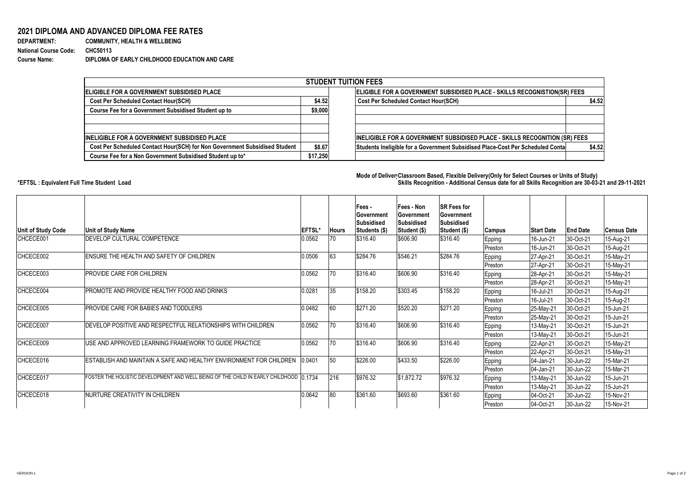## **2021 DIPLOMA AND ADVANCED DIPLOMA FEE RATES**

| <b>DEPARTMENT:</b>           |  |
|------------------------------|--|
| <b>National Course Code:</b> |  |
| <b>Course Name:</b>          |  |

**COMMUNITY, HEALTH & WELLBEING National Course Code: CHC50113 Course Name: DIPLOMA OF EARLY CHILDHOOD EDUCATION AND CARE**

**Mode of Delivery:Classroom Based, Flexible Delivery(Only for Select Courses or Units of Study) \*EFTSL : Equivalent Full Time Student Load Skills Recognition - Additional Census date for all Skills Recognition are 30-03-21 and 29-11-2021** 



| <b>STUDENT TUITION FEES</b>                                                |          |                                                                                          |  |  |  |  |  |  |  |
|----------------------------------------------------------------------------|----------|------------------------------------------------------------------------------------------|--|--|--|--|--|--|--|
| <b>ELIGIBLE FOR A GOVERNMENT SUBSIDISED PLACE</b>                          |          | ELIGIBLE FOR A GOVERNMENT SUBSIDISED PLACE - SKILLS RECOGNISTION(SR) FEES                |  |  |  |  |  |  |  |
| <b>Cost Per Scheduled Contact Hour(SCH)</b>                                | \$4.52   | <b>Cost Per Scheduled Contact Hour(SCH)</b><br>\$4.52                                    |  |  |  |  |  |  |  |
| Course Fee for a Government Subsidised Student up to                       | \$9,000  |                                                                                          |  |  |  |  |  |  |  |
|                                                                            |          |                                                                                          |  |  |  |  |  |  |  |
|                                                                            |          |                                                                                          |  |  |  |  |  |  |  |
| <b>INELIGIBLE FOR A GOVERNMENT SUBSIDISED PLACE</b>                        |          | INELIGIBLE FOR A GOVERNMENT SUBSIDISED PLACE - SKILLS RECOGNITION (SR) FEES              |  |  |  |  |  |  |  |
| Cost Per Scheduled Contact Hour(SCH) for Non Government Subsidised Student | \$8.67   | Students Ineligible for a Government Subsidised Place-Cost Per Scheduled Conta<br>\$4.52 |  |  |  |  |  |  |  |
| Course Fee for a Non Government Subsidised Student up to*                  | \$17,250 |                                                                                          |  |  |  |  |  |  |  |

| Unit of Study Code | <b>Unit of Study Name</b>                                                              | <b>EFTSL*</b> | <b>Hours</b> | Fees -<br><b>Government</b><br><b>Subsidised</b><br><b>Students (\$)</b> | Fees - Non<br><b>Government</b><br><b>Subsidised</b><br>Student (\$) | <b>SR Fees for</b><br><b>Government</b><br><b>Subsidised</b><br>Student (\$) | <b>Campus</b>  | <b>Start Date</b> | <b>End Date</b> | <b>Census Date</b> |
|--------------------|----------------------------------------------------------------------------------------|---------------|--------------|--------------------------------------------------------------------------|----------------------------------------------------------------------|------------------------------------------------------------------------------|----------------|-------------------|-----------------|--------------------|
| CHCECE001          | DEVELOP CULTURAL COMPETENCE                                                            | 0.0562        | 70           | \$316.40                                                                 | \$606.90                                                             | \$316.40                                                                     | <b>Epping</b>  | 16-Jun-21         | 30-Oct-21       | 15-Aug-21          |
|                    |                                                                                        |               |              |                                                                          |                                                                      |                                                                              | Preston        | 16-Jun-21         | 30-Oct-21       | 15-Aug-21          |
| CHCECE002          | ENSURE THE HEALTH AND SAFETY OF CHILDREN                                               | 0.0506        | 63           | \$284.76                                                                 | \$546.21                                                             | \$284.76                                                                     | Epping         | 27-Apr-21         | 30-Oct-21       | 15-May-21          |
|                    |                                                                                        |               |              |                                                                          |                                                                      |                                                                              | Preston        | 27-Apr-21         | 30-Oct-21       | 15-May-21          |
| CHCECE003          | PROVIDE CARE FOR CHILDREN                                                              | 0.0562        |              | \$316.40                                                                 | \$606.90                                                             | \$316.40                                                                     | <b>Epping</b>  | 28-Apr-21         | 30-Oct-21       | 15-May-21          |
|                    |                                                                                        |               |              |                                                                          |                                                                      |                                                                              | <b>Preston</b> | 28-Apr-21         | 30-Oct-21       | 15-May-21          |
| CHCECE004          | PROMOTE AND PROVIDE HEALTHY FOOD AND DRINKS                                            | 0.0281        | 35           | \$158.20                                                                 | \$303.45                                                             | \$158.20                                                                     | <b>Epping</b>  | 16-Jul-21         | 30-Oct-21       | 15-Aug-21          |
|                    |                                                                                        |               |              |                                                                          |                                                                      |                                                                              | <b>Preston</b> | 16-Jul-21         | 30-Oct-21       | 15-Aug-21          |
| CHCECE005          | PROVIDE CARE FOR BABIES AND TODDLERS                                                   | 0.0482        |              | \$271.20                                                                 | \$520.20                                                             | \$271.20                                                                     | <b>Epping</b>  | 25-May-21         | 30-Oct-21       | 15-Jun-21          |
|                    |                                                                                        |               |              |                                                                          |                                                                      |                                                                              | Preston        | 25-May-21         | 30-Oct-21       | 15-Jun-21          |
| CHCECE007          | DEVELOP POSITIVE AND RESPECTFUL RELATIONSHIPS WITH CHILDREN                            | 0.0562        |              | \$316.40                                                                 | \$606.90                                                             | \$316.40                                                                     | Epping         | 13-May-21         | 30-Oct-21       | 15-Jun-21          |
|                    |                                                                                        |               |              |                                                                          |                                                                      |                                                                              | Preston        | 13-May-21         | 30-Oct-21       | 15-Jun-21          |
| CHCECE009          | USE AND APPROVED LEARNING FRAMEWORK TO GUIDE PRACTICE                                  | 0.0562        |              | \$316.40                                                                 | \$606.90                                                             | \$316.40                                                                     | <b>Epping</b>  | 22-Apr-21         | 30-Oct-21       | 15-May-21          |
|                    |                                                                                        |               |              |                                                                          |                                                                      |                                                                              | Preston        | 22-Apr-21         | 30-Oct-21       | 15-May-21          |
| CHCECE016          | IESTABLISH AND MAINTAIN A SAFE AND HEALTHY ENVIRONMENT FOR CHILDREN 10.0401            |               | 50           | \$226.00                                                                 | \$433.50                                                             | \$226.00                                                                     | Epping         | 04-Jan-21         | 30-Jun-22       | 15-Mar-21          |
|                    |                                                                                        |               |              |                                                                          |                                                                      |                                                                              | <b>Preston</b> | 04-Jan-21         | 30-Jun-22       | 15-Mar-21          |
| CHCECE017          | FOSTER THE HOLISTIC DEVELOPMENT AND WELL BEING OF THE CHILD IN EARLY CHILDHOOD 10.1734 |               | 216          | \$976.32                                                                 | $\frac{1}{1}$ \$1,872.72                                             | \$976.32                                                                     | Epping         | 13-May-21         | 30-Jun-22       | 15-Jun-21          |
|                    |                                                                                        |               |              |                                                                          |                                                                      |                                                                              | Preston        | 13-May-21         | 30-Jun-22       | 15-Jun-21          |
| CHCECE018          | NURTURE CREATIVITY IN CHILDREN                                                         | 0.0642        | 80           | \$361.60                                                                 | \$693.60                                                             | \$361.60                                                                     | <b>Epping</b>  | 04-Oct-21         | 30-Jun-22       | 15-Nov-21          |
|                    |                                                                                        |               |              |                                                                          |                                                                      |                                                                              | Preston        | $ 04 - Oct-21 $   | $ 30 - Jun-22 $ | 15-Nov-21          |

## VERSION 1 Page 1 of 2